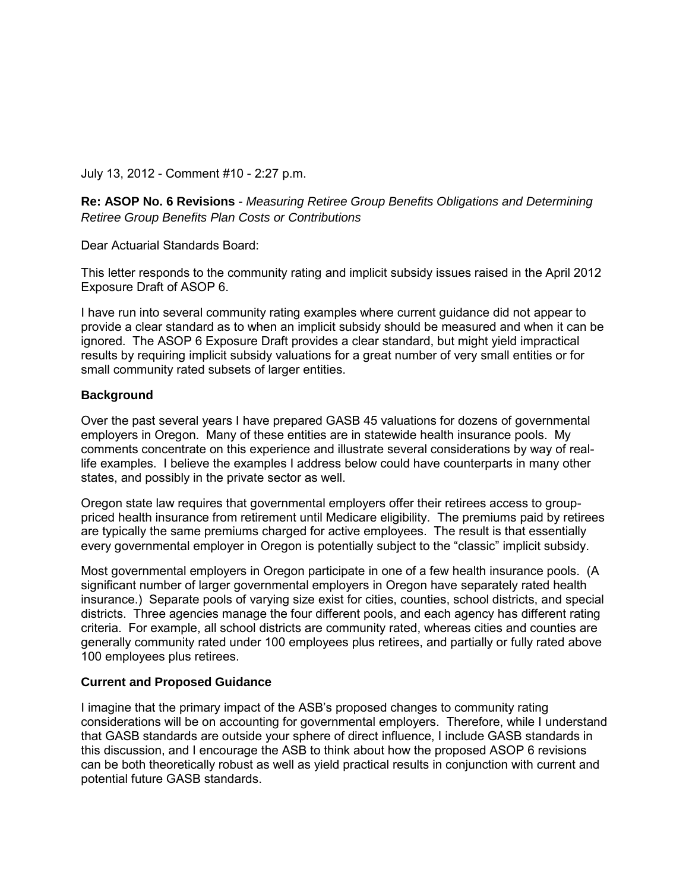July 13, 2012 - Comment #10 - 2:27 p.m.

**Re: ASOP No. 6 Revisions** - *[Measuring Retiree Group Benefits Obligations and Determining](http://www.actuarialstandardsboard.org/pdf/exposure/asop6_exposure%20draft_april_2012.pdf)  [Retiree Group Benefits Plan Costs or Contributions](http://www.actuarialstandardsboard.org/pdf/exposure/asop6_exposure%20draft_april_2012.pdf)*

Dear Actuarial Standards Board:

This letter responds to the community rating and implicit subsidy issues raised in the April 2012 Exposure Draft of ASOP 6.

I have run into several community rating examples where current guidance did not appear to provide a clear standard as to when an implicit subsidy should be measured and when it can be ignored. The ASOP 6 Exposure Draft provides a clear standard, but might yield impractical results by requiring implicit subsidy valuations for a great number of very small entities or for small community rated subsets of larger entities.

## **Background**

Over the past several years I have prepared GASB 45 valuations for dozens of governmental employers in Oregon. Many of these entities are in statewide health insurance pools. My comments concentrate on this experience and illustrate several considerations by way of reallife examples. I believe the examples I address below could have counterparts in many other states, and possibly in the private sector as well.

Oregon state law requires that governmental employers offer their retirees access to grouppriced health insurance from retirement until Medicare eligibility. The premiums paid by retirees are typically the same premiums charged for active employees. The result is that essentially every governmental employer in Oregon is potentially subject to the "classic" implicit subsidy.

Most governmental employers in Oregon participate in one of a few health insurance pools. (A significant number of larger governmental employers in Oregon have separately rated health insurance.) Separate pools of varying size exist for cities, counties, school districts, and special districts. Three agencies manage the four different pools, and each agency has different rating criteria. For example, all school districts are community rated, whereas cities and counties are generally community rated under 100 employees plus retirees, and partially or fully rated above 100 employees plus retirees.

## **Current and Proposed Guidance**

I imagine that the primary impact of the ASB's proposed changes to community rating considerations will be on accounting for governmental employers. Therefore, while I understand that GASB standards are outside your sphere of direct influence, I include GASB standards in this discussion, and I encourage the ASB to think about how the proposed ASOP 6 revisions can be both theoretically robust as well as yield practical results in conjunction with current and potential future GASB standards.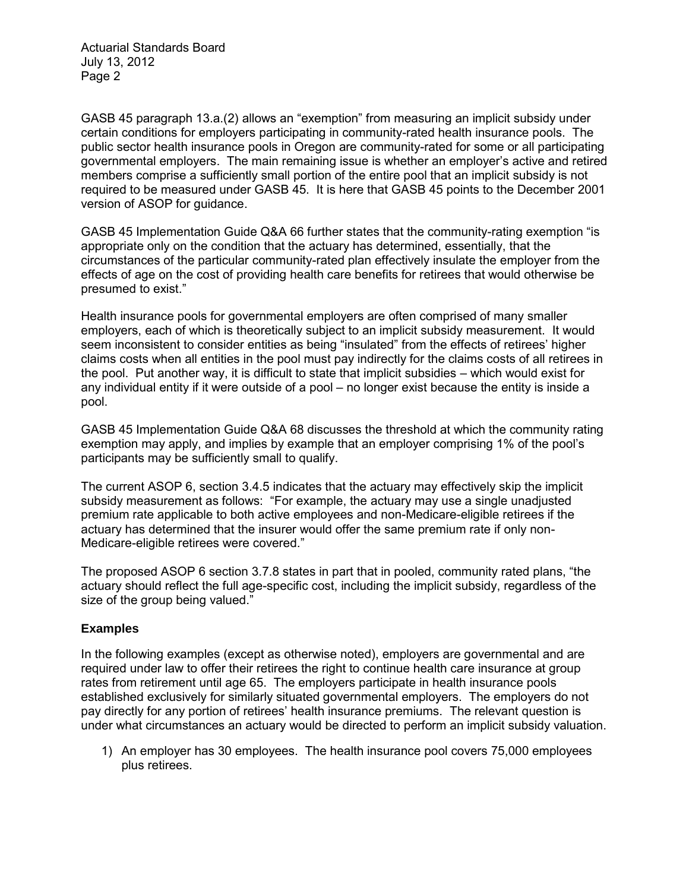Actuarial Standards Board July 13, 2012 Page 2

GASB 45 paragraph 13.a.(2) allows an "exemption" from measuring an implicit subsidy under certain conditions for employers participating in community-rated health insurance pools. The public sector health insurance pools in Oregon are community-rated for some or all participating governmental employers. The main remaining issue is whether an employer's active and retired members comprise a sufficiently small portion of the entire pool that an implicit subsidy is not required to be measured under GASB 45. It is here that GASB 45 points to the December 2001 version of ASOP for guidance.

GASB 45 Implementation Guide Q&A 66 further states that the community-rating exemption "is appropriate only on the condition that the actuary has determined, essentially, that the circumstances of the particular community-rated plan effectively insulate the employer from the effects of age on the cost of providing health care benefits for retirees that would otherwise be presumed to exist."

Health insurance pools for governmental employers are often comprised of many smaller employers, each of which is theoretically subject to an implicit subsidy measurement. It would seem inconsistent to consider entities as being "insulated" from the effects of retirees' higher claims costs when all entities in the pool must pay indirectly for the claims costs of all retirees in the pool. Put another way, it is difficult to state that implicit subsidies – which would exist for any individual entity if it were outside of a pool – no longer exist because the entity is inside a pool.

GASB 45 Implementation Guide Q&A 68 discusses the threshold at which the community rating exemption may apply, and implies by example that an employer comprising 1% of the pool's participants may be sufficiently small to qualify.

The current ASOP 6, section 3.4.5 indicates that the actuary may effectively skip the implicit subsidy measurement as follows: "For example, the actuary may use a single unadjusted premium rate applicable to both active employees and non-Medicare-eligible retirees if the actuary has determined that the insurer would offer the same premium rate if only non-Medicare-eligible retirees were covered."

The proposed ASOP 6 section 3.7.8 states in part that in pooled, community rated plans, "the actuary should reflect the full age-specific cost, including the implicit subsidy, regardless of the size of the group being valued."

## **Examples**

In the following examples (except as otherwise noted), employers are governmental and are required under law to offer their retirees the right to continue health care insurance at group rates from retirement until age 65. The employers participate in health insurance pools established exclusively for similarly situated governmental employers. The employers do not pay directly for any portion of retirees' health insurance premiums. The relevant question is under what circumstances an actuary would be directed to perform an implicit subsidy valuation.

1) An employer has 30 employees. The health insurance pool covers 75,000 employees plus retirees.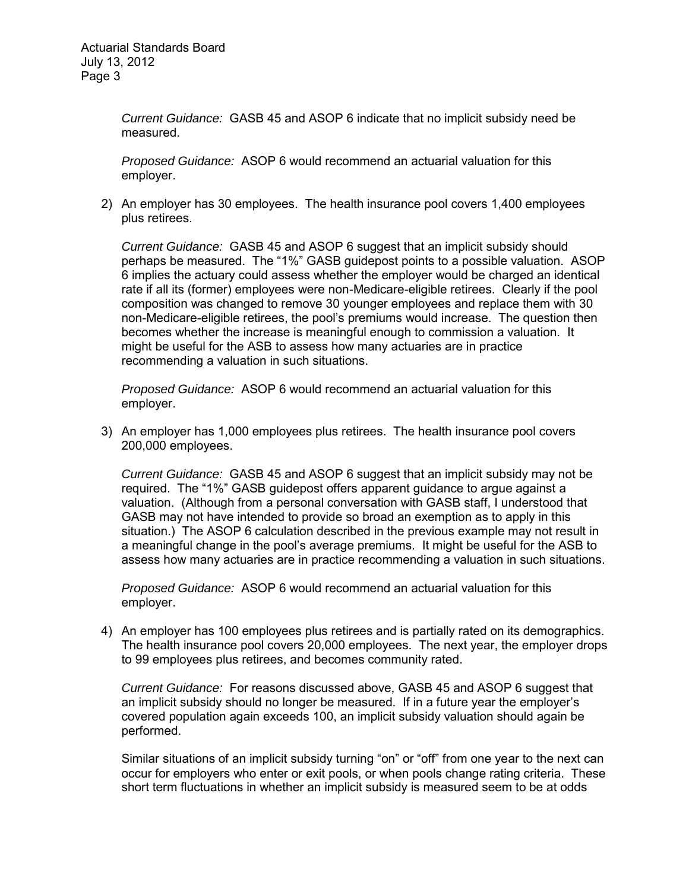*Current Guidance:* GASB 45 and ASOP 6 indicate that no implicit subsidy need be measured.

*Proposed Guidance:* ASOP 6 would recommend an actuarial valuation for this employer.

2) An employer has 30 employees. The health insurance pool covers 1,400 employees plus retirees.

*Current Guidance:* GASB 45 and ASOP 6 suggest that an implicit subsidy should perhaps be measured. The "1%" GASB guidepost points to a possible valuation. ASOP 6 implies the actuary could assess whether the employer would be charged an identical rate if all its (former) employees were non-Medicare-eligible retirees. Clearly if the pool composition was changed to remove 30 younger employees and replace them with 30 non-Medicare-eligible retirees, the pool's premiums would increase. The question then becomes whether the increase is meaningful enough to commission a valuation. It might be useful for the ASB to assess how many actuaries are in practice recommending a valuation in such situations.

*Proposed Guidance:* ASOP 6 would recommend an actuarial valuation for this employer.

3) An employer has 1,000 employees plus retirees. The health insurance pool covers 200,000 employees.

*Current Guidance:* GASB 45 and ASOP 6 suggest that an implicit subsidy may not be required. The "1%" GASB guidepost offers apparent guidance to argue against a valuation. (Although from a personal conversation with GASB staff, I understood that GASB may not have intended to provide so broad an exemption as to apply in this situation.) The ASOP 6 calculation described in the previous example may not result in a meaningful change in the pool's average premiums. It might be useful for the ASB to assess how many actuaries are in practice recommending a valuation in such situations.

*Proposed Guidance:* ASOP 6 would recommend an actuarial valuation for this employer.

4) An employer has 100 employees plus retirees and is partially rated on its demographics. The health insurance pool covers 20,000 employees. The next year, the employer drops to 99 employees plus retirees, and becomes community rated.

*Current Guidance:* For reasons discussed above, GASB 45 and ASOP 6 suggest that an implicit subsidy should no longer be measured. If in a future year the employer's covered population again exceeds 100, an implicit subsidy valuation should again be performed.

Similar situations of an implicit subsidy turning "on" or "off" from one year to the next can occur for employers who enter or exit pools, or when pools change rating criteria. These short term fluctuations in whether an implicit subsidy is measured seem to be at odds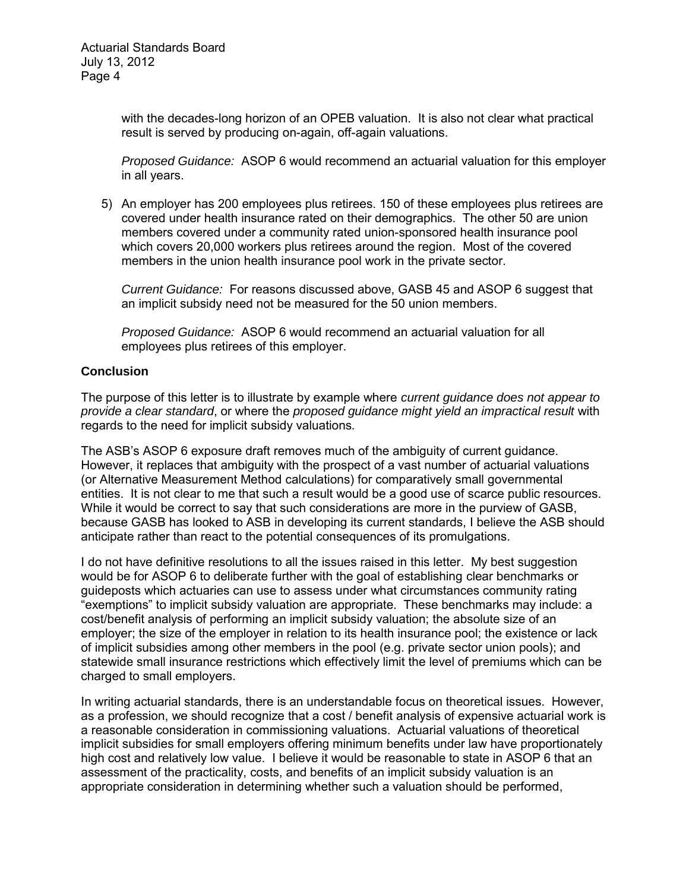with the decades-long horizon of an OPEB valuation. It is also not clear what practical result is served by producing on-again, off-again valuations.

*Proposed Guidance:* ASOP 6 would recommend an actuarial valuation for this employer in all years.

5) An employer has 200 employees plus retirees. 150 of these employees plus retirees are covered under health insurance rated on their demographics. The other 50 are union members covered under a community rated union-sponsored health insurance pool which covers 20,000 workers plus retirees around the region. Most of the covered members in the union health insurance pool work in the private sector.

*Current Guidance:* For reasons discussed above, GASB 45 and ASOP 6 suggest that an implicit subsidy need not be measured for the 50 union members.

*Proposed Guidance:* ASOP 6 would recommend an actuarial valuation for all employees plus retirees of this employer.

## **Conclusion**

The purpose of this letter is to illustrate by example where *current guidance does not appear to provide a clear standard*, or where the *proposed guidance might yield an impractical result* with regards to the need for implicit subsidy valuations*.*

The ASB's ASOP 6 exposure draft removes much of the ambiguity of current guidance. However, it replaces that ambiguity with the prospect of a vast number of actuarial valuations (or Alternative Measurement Method calculations) for comparatively small governmental entities. It is not clear to me that such a result would be a good use of scarce public resources. While it would be correct to say that such considerations are more in the purview of GASB, because GASB has looked to ASB in developing its current standards, I believe the ASB should anticipate rather than react to the potential consequences of its promulgations.

I do not have definitive resolutions to all the issues raised in this letter. My best suggestion would be for ASOP 6 to deliberate further with the goal of establishing clear benchmarks or guideposts which actuaries can use to assess under what circumstances community rating "exemptions" to implicit subsidy valuation are appropriate. These benchmarks may include: a cost/benefit analysis of performing an implicit subsidy valuation; the absolute size of an employer; the size of the employer in relation to its health insurance pool; the existence or lack of implicit subsidies among other members in the pool (e.g. private sector union pools); and statewide small insurance restrictions which effectively limit the level of premiums which can be charged to small employers.

In writing actuarial standards, there is an understandable focus on theoretical issues. However, as a profession, we should recognize that a cost / benefit analysis of expensive actuarial work is a reasonable consideration in commissioning valuations. Actuarial valuations of theoretical implicit subsidies for small employers offering minimum benefits under law have proportionately high cost and relatively low value. I believe it would be reasonable to state in ASOP 6 that an assessment of the practicality, costs, and benefits of an implicit subsidy valuation is an appropriate consideration in determining whether such a valuation should be performed,